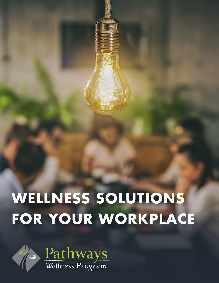# **WELLNESS SOLUTIONS FOR YOUR WORKPLACE**

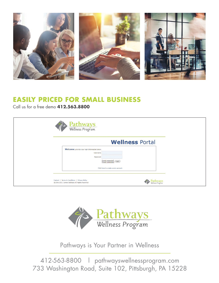

### **EASILY PRICED FOR SMALL BUSINESS**

Call us for a free demo **412.563.8800**

| <b>Pathways</b><br>Wellness Program                                                                                                       |                             |
|-------------------------------------------------------------------------------------------------------------------------------------------|-----------------------------|
| <b>Wellness Portal</b>                                                                                                                    |                             |
| Welcome, provide your login information below.<br>Username<br>Password<br>Forgot password? (Login)<br>Click here to create a new account. |                             |
| Contact   Terms & Conditions   Privacy Policy<br>@1996-2021 Cerner Wellness All Rights Reserved                                           | athways<br>Wellness Program |



Pathways is Your Partner in Wellness

412-563-8800 | pathwayswellnessprogram.com 733 Washington Road, Suite 102, Pittsburgh, PA 15228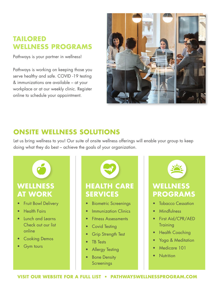### **TAILORED WELLNESS PROGRAMS**

Pathways is your partner in wellness!

Pathways is working on keeping those you serve healthy and safe. COVID -19 testing & immunizations are available – at your workplace or at our weekly clinic. Register online to schedule your appointment.



## **ONSITE WELLNESS SOLUTIONS**

Let us bring wellness to you! Our suite of onsite wellness offerings will enable your group to keep doing what they do best – achieve the goals of your organization.